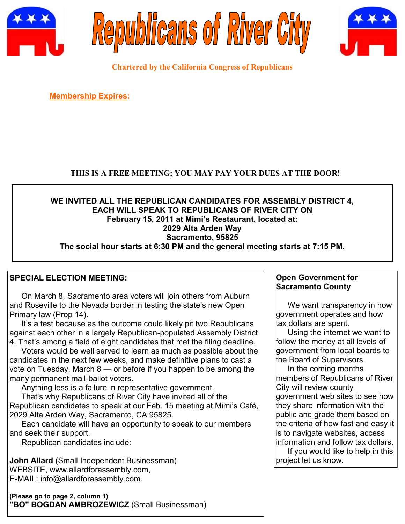





**Chartered by the California Congress of Republicans**

**Membership Expires:** 

# **THIS IS A FREE MEETING; YOU MAY PAY YOUR DUES AT THE DOOR!**

### **WE INVITED ALL THE REPUBLICAN CANDIDATES FOR ASSEMBLY DISTRICT 4, EACH WILL SPEAK TO REPUBLICANS OF RIVER CITY ON February 15, 2011 at Mimi's Restaurant, located at: 2029 Alta Arden Way Sacramento, 95825 The social hour starts at 6:30 PM and the general meeting starts at 7:15 PM.**

# **SPECIAL ELECTION MEETING:**

On March 8, Sacramento area voters will join others from Auburn and Roseville to the Nevada border in testing the state"s new Open Primary law (Prop 14).

It's a test because as the outcome could likely pit two Republicans against each other in a largely Republican-populated Assembly District 4. That"s among a field of eight candidates that met the filing deadline.

Voters would be well served to learn as much as possible about the candidates in the next few weeks, and make definitive plans to cast a vote on Tuesday, March 8 — or before if you happen to be among the many permanent mail-ballot voters.

Anything less is a failure in representative government.

That"s why Republicans of River City have invited all of the Republican candidates to speak at our Feb. 15 meeting at Mimi"s Café, 2029 Alta Arden Way, Sacramento, CA 95825.

Each candidate will have an opportunity to speak to our members and seek their support.

Republican candidates include:

**John Allard** (Small Independent Businessman) WEBSITE, www.allardforassembly.com, E-MAIL: info@allardforassembly.com.

**(Please go to page 2, column 1) "BO" BOGDAN AMBROZEWICZ** (Small Businessman)

# **Open Government for Sacramento County**

We want transparency in how government operates and how tax dollars are spent.

Using the internet we want to follow the money at all levels of government from local boards to the Board of Supervisors.

In the coming months members of Republicans of River City will review county government web sites to see how they share information with the public and grade them based on the criteria of how fast and easy it is to navigate websites, access information and follow tax dollars.

If you would like to help in this project let us know.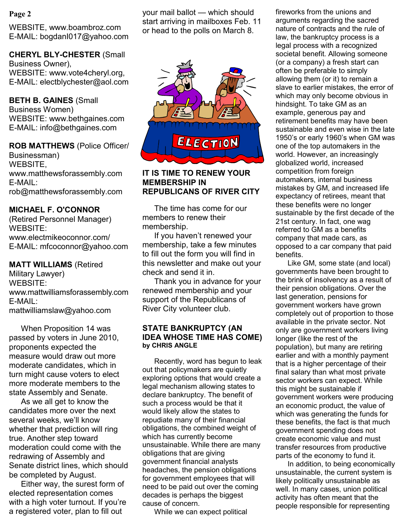## **Page 2**

WEBSITE, www.boambroz.com E-MAIL: bogdanI017@yahoo.com

**CHERYL BLY-CHESTER** (Small Business Owner), WEBSITE: www.vote4cheryl.org, E-MAIL: electblychester@aol.com

**BETH B. GAINES** (Small Business Women) WEBSITE: www.bethgaines.com E-MAIL: info@bethgaines.com

**ROB MATTHEWS** (Police Officer/ Businessman) WEBSITE, www.matthewsforassembly.com E-MAIL: rob@matthewsforassembly.com

# **MICHAEL F. O'CONNOR**

(Retired Personnel Manager) WEBSITE: www.electmikeoconnor.com/ E-MAIL: mfcoconnor@yahoo.com

**MATT WILLIAMS** (Retired Military Lawyer) WEBSITE: www.mattwilliamsforassembly.com E-MAIL: mattwilliamslaw@yahoo.com

When Proposition 14 was passed by voters in June 2010, proponents expected the measure would draw out more moderate candidates, which in turn might cause voters to elect more moderate members to the state Assembly and Senate.

As we all get to know the candidates more over the next several weeks, we"ll know whether that prediction will ring true. Another step toward moderation could come with the redrawing of Assembly and Senate district lines, which should be completed by August.

Either way, the surest form of elected representation comes with a high voter turnout. If you're a registered voter, plan to fill out

your mail ballot — which should start arriving in mailboxes Feb. 11 or head to the polls on March 8.



#### **IT IS TIME TO RENEW YOUR MEMBERSHIP IN REPUBLICANS OF RIVER CITY**

The time has come for our members to renew their membership.

If you haven"t renewed your membership, take a few minutes to fill out the form you will find in this newsletter and make out your check and send it in.

Thank you in advance for your renewed membership and your support of the Republicans of River City volunteer club.

#### **STATE BANKRUPTCY (AN IDEA WHOSE TIME HAS COME) by CHRIS ANGLE**

Recently, word has begun to leak out that policymakers are quietly exploring options that would create a legal mechanism allowing states to declare bankruptcy. The benefit of such a process would be that it would likely allow the states to repudiate many of their financial obligations, the combined weight of which has currently become unsustainable. While there are many obligations that are giving government financial analysts headaches, the pension obligations for government employees that will need to be paid out over the coming decades is perhaps the biggest cause of concern.

While we can expect political

fireworks from the unions and arguments regarding the sacred nature of contracts and the rule of law, the bankruptcy process is a legal process with a recognized societal benefit. Allowing someone (or a company) a fresh start can often be preferable to simply allowing them (or it) to remain a slave to earlier mistakes, the error of which may only become obvious in hindsight. To take GM as an example, generous pay and retirement benefits may have been sustainable and even wise in the late 1950"s or early 1960"s when GM was one of the top automakers in the world. However, an increasingly globalized world, increased competition from foreign automakers, internal business mistakes by GM, and increased life expectancy of retirees, meant that these benefits were no longer sustainable by the first decade of the 21st century. In fact, one wag referred to GM as a benefits company that made cars, as opposed to a car company that paid benefits.

Like GM, some state (and local) governments have been brought to the brink of insolvency as a result of their pension obligations. Over the last generation, pensions for government workers have grown completely out of proportion to those available in the private sector. Not only are government workers living longer (like the rest of the population), but many are retiring earlier and with a monthly payment that is a higher percentage of their final salary than what most private sector workers can expect. While this might be sustainable if government workers were producing an economic product, the value of which was generating the funds for these benefits, the fact is that much government spending does not create economic value and must transfer resources from productive parts of the economy to fund it.

In addition, to being economically unsustainable, the current system is likely politically unsustainable as well. In many cases, union political activity has often meant that the people responsible for representing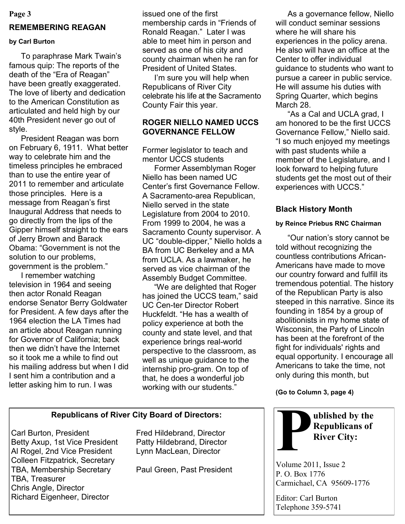#### **Page 3**

# **REMEMBERING REAGAN**

#### **by Carl Burton**

To paraphrase Mark Twain"s famous quip: The reports of the death of the "Era of Reagan" have been greatly exaggerated. The love of liberty and dedication to the American Constitution as articulated and held high by our 40th President never go out of style.

President Reagan was born on February 6, 1911. What better way to celebrate him and the timeless principles he embraced than to use the entire year of 2011 to remember and articulate those principles. Here is a message from Reagan"s first Inaugural Address that needs to go directly from the lips of the Gipper himself straight to the ears of Jerry Brown and Barack Obama: "Government is not the solution to our problems, government is the problem."

I remember watching television in 1964 and seeing then actor Ronald Reagan endorse Senator Berry Goldwater for President. A few days after the 1964 election the LA Times had an article about Reagan running for Governor of California; back then we didn"t have the Internet so it took me a while to find out his mailing address but when I did I sent him a contribution and a letter asking him to run. I was

issued one of the first membership cards in "Friends of Ronald Reagan." Later I was able to meet him in person and served as one of his city and county chairman when he ran for President of United States.

I'm sure you will help when Republicans of River City celebrate his life at the Sacramento County Fair this year.

# **ROGER NIELLO NAMED UCCS GOVERNANCE FELLOW**

Former legislator to teach and mentor UCCS students

Former Assemblyman Roger Niello has been named UC Center"s first Governance Fellow. A Sacramento-area Republican, Niello served in the state Legislature from 2004 to 2010. From 1999 to 2004, he was a Sacramento County supervisor. A UC "double-dipper," Niello holds a BA from UC Berkeley and a MA from UCLA. As a lawmaker, he served as vice chairman of the Assembly Budget Committee.

"We are delighted that Roger has joined the UCCS team," said UC Cen-ter Director Robert Huckfeldt. "He has a wealth of policy experience at both the county and state level, and that experience brings real-world perspective to the classroom, as well as unique guidance to the internship pro-gram. On top of that, he does a wonderful job working with our students."

# **Republicans of River City Board of Directors:**

Carl Burton, President Fred Hildebrand, Director Betty Axup, 1st Vice President Patty Hildebrand, Director Al Rogel, 2nd Vice President Lynn MacLean, Director Colleen Fitzpatrick, Secretary TBA, Membership Secretary Paul Green, Past President TBA, Treasurer Chris Angle, Director Richard Eigenheer, Director

As a governance fellow, Niello will conduct seminar sessions where he will share his experiences in the policy arena. He also will have an office at the Center to offer individual guidance to students who want to pursue a career in public service. He will assume his duties with Spring Quarter, which begins March 28.

"As a Cal and UCLA grad, I am honored to be the first UCCS Governance Fellow," Niello said. "I so much enjoyed my meetings with past students while a member of the Legislature, and I look forward to helping future students get the most out of their experiences with UCCS."

# **Black History Month**

### **by Reince Priebus RNC Chairman**

"Our nation"s story cannot be told without recognizing the countless contributions African-Americans have made to move our country forward and fulfill its tremendous potential. The history of the Republican Party is also steeped in this narrative. Since its founding in 1854 by a group of abolitionists in my home state of Wisconsin, the Party of Lincoln has been at the forefront of the fight for individuals' rights and equal opportunity. I encourage all Americans to take the time, not only during this month, but

**(Go to Column 3, page 4)**



Volume 2011, Issue 2 P. O. Box 1776 Carmichael, CA 95609-1776

Editor: Carl Burton Telephone 359-5741